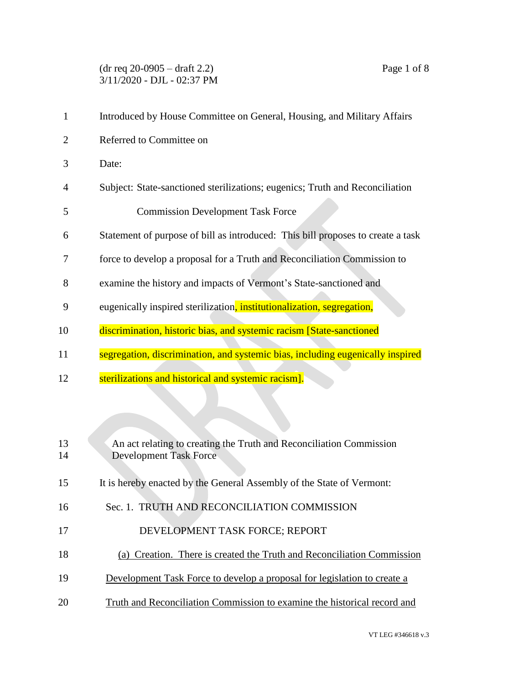(dr req 20-0905 – draft 2.2) Page 1 of 8 3/11/2020 - DJL - 02:37 PM

| $\mathbf{1}$   | Introduced by House Committee on General, Housing, and Military Affairs         |
|----------------|---------------------------------------------------------------------------------|
| $\overline{2}$ | Referred to Committee on                                                        |
| 3              | Date:                                                                           |
| 4              | Subject: State-sanctioned sterilizations; eugenics; Truth and Reconciliation    |
| 5              | <b>Commission Development Task Force</b>                                        |
| 6              | Statement of purpose of bill as introduced: This bill proposes to create a task |
| 7              | force to develop a proposal for a Truth and Reconciliation Commission to        |
| 8              | examine the history and impacts of Vermont's State-sanctioned and               |
| 9              | eugenically inspired sterilization, institutionalization, segregation,          |
| 10             | discrimination, historic bias, and systemic racism [State-sanctioned            |
| 11             | segregation, discrimination, and systemic bias, including eugenically inspired  |
| 12             | sterilizations and historical and systemic racism].                             |
|                |                                                                                 |
|                |                                                                                 |
| 13             | An act relating to creating the Truth and Reconciliation Commission             |

Development Task Force

- It is hereby enacted by the General Assembly of the State of Vermont:
- Sec. 1. TRUTH AND RECONCILIATION COMMISSION
- 17 DEVELOPMENT TASK FORCE; REPORT
- (a) Creation. There is created the Truth and Reconciliation Commission
- 19 Development Task Force to develop a proposal for legislation to create a
- Truth and Reconciliation Commission to examine the historical record and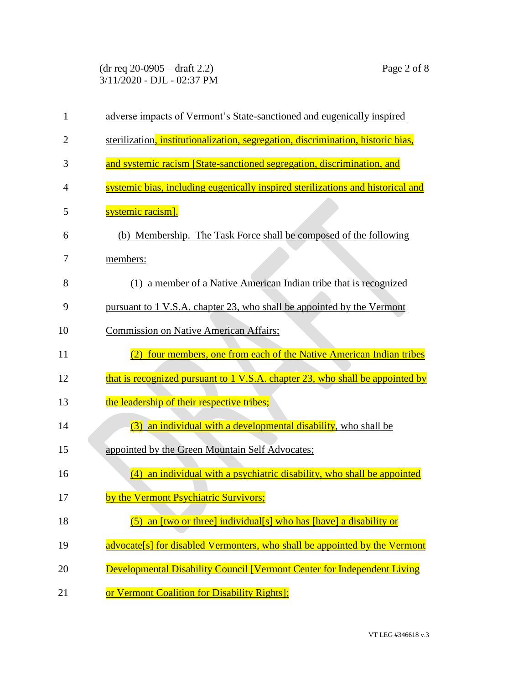(dr req 20-0905 – draft 2.2) Page 2 of 8 3/11/2020 - DJL - 02:37 PM

| $\mathbf{1}$   | adverse impacts of Vermont's State-sanctioned and eugenically inspired           |
|----------------|----------------------------------------------------------------------------------|
| $\overline{2}$ | sterilization, institutionalization, segregation, discrimination, historic bias, |
| 3              | and systemic racism [State-sanctioned segregation, discrimination, and           |
| 4              | systemic bias, including eugenically inspired sterilizations and historical and  |
| 5              | systemic racism].                                                                |
| 6              | (b) Membership. The Task Force shall be composed of the following                |
| 7              | members:                                                                         |
| 8              | (1) a member of a Native American Indian tribe that is recognized                |
| 9              | pursuant to 1 V.S.A. chapter 23, who shall be appointed by the Vermont           |
| 10             | Commission on Native American Affairs;                                           |
| 11             | four members, one from each of the Native American Indian tribes                 |
| 12             | that is recognized pursuant to 1 V.S.A. chapter 23, who shall be appointed by    |
| 13             | the leadership of their respective tribes;                                       |
| 14             | (3) an individual with a developmental disability, who shall be                  |
| 15             | appointed by the Green Mountain Self Advocates;                                  |
| 16             | an individual with a psychiatric disability, who shall be appointed<br>(4)       |
| 17             | by the Vermont Psychiatric Survivors;                                            |
| 18             | $(5)$ an [two or three] individual[s] who has [have] a disability or             |
| 19             | advocate[s] for disabled Vermonters, who shall be appointed by the Vermont       |
| 20             | <b>Developmental Disability Council [Vermont Center for Independent Living</b>   |
| 21             | or Vermont Coalition for Disability Rights];                                     |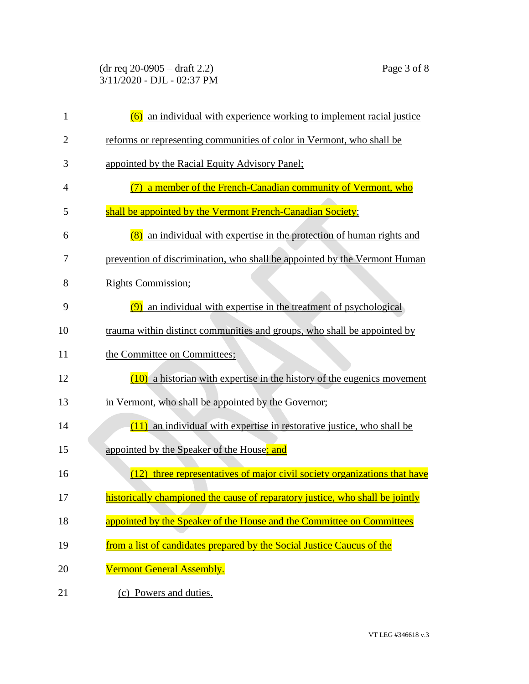(dr req 20-0905 – draft 2.2) Page 3 of 8 3/11/2020 - DJL - 02:37 PM

| $\mathbf{1}$   | (6) an individual with experience working to implement racial justice         |
|----------------|-------------------------------------------------------------------------------|
| $\overline{2}$ | reforms or representing communities of color in Vermont, who shall be         |
| 3              | appointed by the Racial Equity Advisory Panel;                                |
| 4              | a member of the French-Canadian community of Vermont, who                     |
| 5              | shall be appointed by the Vermont French-Canadian Society;                    |
| 6              | (8) an individual with expertise in the protection of human rights and        |
| 7              | prevention of discrimination, who shall be appointed by the Vermont Human     |
| 8              | <b>Rights Commission;</b>                                                     |
| 9              | (9) an individual with expertise in the treatment of psychological            |
| 10             | trauma within distinct communities and groups, who shall be appointed by      |
| 11             | the Committee on Committees;                                                  |
| 12             | $(10)$ a historian with expertise in the history of the eugenics movement     |
| 13             | in Vermont, who shall be appointed by the Governor;                           |
| 14             | $(11)$ an individual with expertise in restorative justice, who shall be      |
| 15             | appointed by the Speaker of the House; and                                    |
| 16             | three representatives of major civil society organizations that have<br>(12)  |
| 17             | historically championed the cause of reparatory justice, who shall be jointly |
| 18             | appointed by the Speaker of the House and the Committee on Committees         |
| 19             | from a list of candidates prepared by the Social Justice Caucus of the        |
| 20             | Vermont General Assembly.                                                     |
| 21             | (c) Powers and duties.                                                        |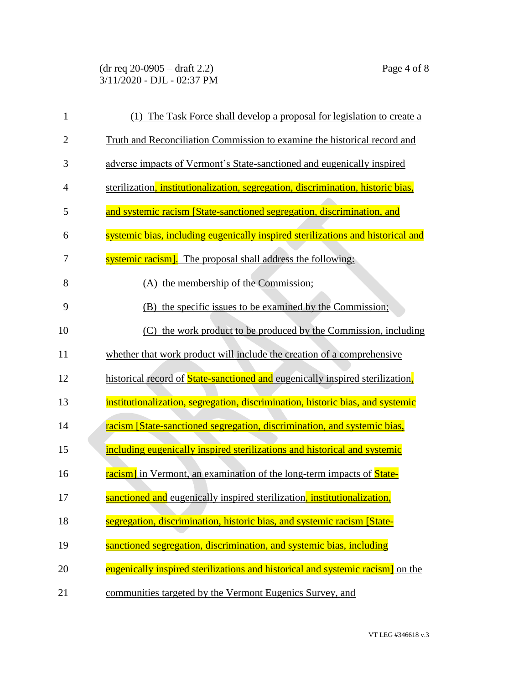(dr req 20-0905 – draft 2.2) Page 4 of 8 3/11/2020 - DJL - 02:37 PM

| $\mathbf{1}$   | (1) The Task Force shall develop a proposal for legislation to create a          |
|----------------|----------------------------------------------------------------------------------|
| $\overline{2}$ | Truth and Reconciliation Commission to examine the historical record and         |
| 3              | adverse impacts of Vermont's State-sanctioned and eugenically inspired           |
| $\overline{4}$ | sterilization, institutionalization, segregation, discrimination, historic bias, |
| 5              | and systemic racism [State-sanctioned segregation, discrimination, and           |
| 6              | systemic bias, including eugenically inspired sterilizations and historical and  |
| 7              | systemic racism]. The proposal shall address the following:                      |
| 8              | (A) the membership of the Commission;                                            |
| 9              | (B) the specific issues to be examined by the Commission;                        |
| 10             | (C) the work product to be produced by the Commission, including                 |
| 11             | whether that work product will include the creation of a comprehensive           |
| 12             | historical record of State-sanctioned and eugenically inspired sterilization.    |
| 13             | institutionalization, segregation, discrimination, historic bias, and systemic   |
| 14             | racism [State-sanctioned segregation, discrimination, and systemic bias,         |
| 15             | including eugenically inspired sterilizations and historical and systemic        |
| 16             | racism] in Vermont, an examination of the long-term impacts of State-            |
| 17             | sanctioned and eugenically inspired sterilization, institutionalization,         |
| 18             | segregation, discrimination, historic bias, and systemic racism [State-          |
| 19             | sanctioned segregation, discrimination, and systemic bias, including             |
| 20             | eugenically inspired sterilizations and historical and systemic racism on the    |
| 21             | communities targeted by the Vermont Eugenics Survey, and                         |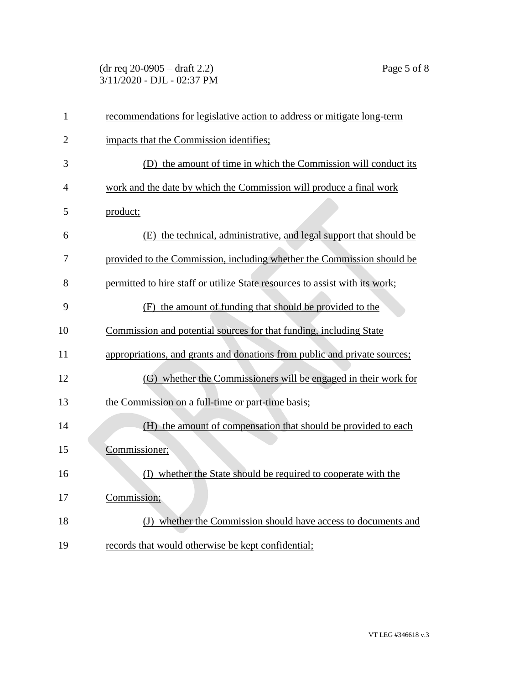(dr req 20-0905 – draft 2.2) Page 5 of 8 3/11/2020 - DJL - 02:37 PM

| $\mathbf{1}$   | recommendations for legislative action to address or mitigate long-term     |
|----------------|-----------------------------------------------------------------------------|
| 2              | impacts that the Commission identifies;                                     |
| 3              | (D) the amount of time in which the Commission will conduct its             |
| $\overline{4}$ | work and the date by which the Commission will produce a final work         |
| 5              | product;                                                                    |
| 6              | (E) the technical, administrative, and legal support that should be         |
| 7              | provided to the Commission, including whether the Commission should be      |
| 8              | permitted to hire staff or utilize State resources to assist with its work; |
| 9              | (F) the amount of funding that should be provided to the                    |
| 10             | Commission and potential sources for that funding, including State          |
| 11             | appropriations, and grants and donations from public and private sources;   |
| 12             | (G) whether the Commissioners will be engaged in their work for             |
| 13             | the Commission on a full-time or part-time basis;                           |
| 14             | (H) the amount of compensation that should be provided to each              |
| 15             | Commissioner;                                                               |
| 16             | (I) whether the State should be required to cooperate with the              |
| 17             | Commission;                                                                 |
| 18             | (J) whether the Commission should have access to documents and              |
| 19             | records that would otherwise be kept confidential;                          |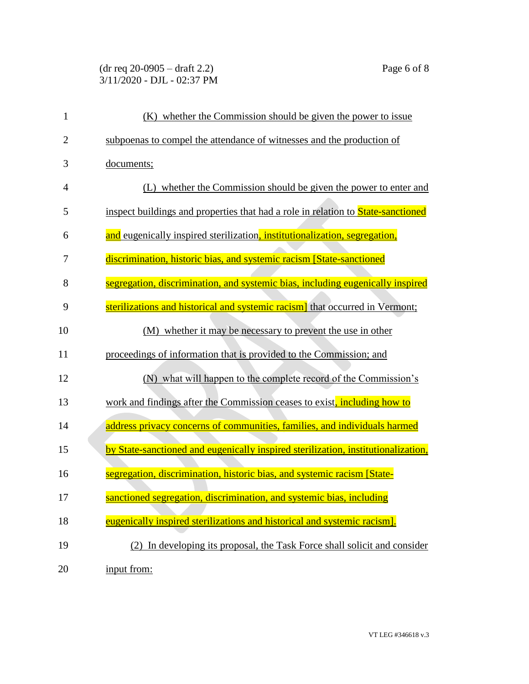## (dr req 20-0905 – draft 2.2) Page 6 of 8 3/11/2020 - DJL - 02:37 PM

| $\mathbf{1}$   | (K) whether the Commission should be given the power to issue                           |
|----------------|-----------------------------------------------------------------------------------------|
| $\overline{2}$ | subpoenas to compel the attendance of witnesses and the production of                   |
| 3              | documents;                                                                              |
| $\overline{4}$ | (L) whether the Commission should be given the power to enter and                       |
| 5              | inspect buildings and properties that had a role in relation to <b>State-sanctioned</b> |
| 6              | and eugenically inspired sterilization, institutionalization, segregation,              |
| 7              | discrimination, historic bias, and systemic racism [State-sanctioned                    |
| 8              | segregation, discrimination, and systemic bias, including eugenically inspired          |
| 9              | sterilizations and historical and systemic racism] that occurred in Vermont;            |
| 10             | (M) whether it may be necessary to prevent the use in other                             |
| 11             | proceedings of information that is provided to the Commission; and                      |
| 12             | (N) what will happen to the complete record of the Commission's                         |
| 13             | work and findings after the Commission ceases to exist, including how to                |
| 14             | address privacy concerns of communities, families, and individuals harmed               |
| 15             | by State-sanctioned and eugenically inspired sterilization, institutionalization,       |
| 16             | segregation, discrimination, historic bias, and systemic racism [State-                 |
| 17             | sanctioned segregation, discrimination, and systemic bias, including                    |
| 18             | eugenically inspired sterilizations and historical and systemic racism].                |
| 19             | (2) In developing its proposal, the Task Force shall solicit and consider               |
| 20             | input from:                                                                             |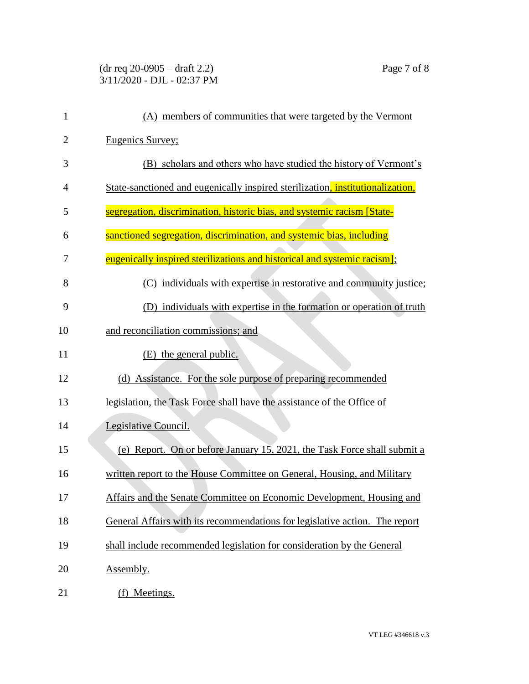## (dr req 20-0905 – draft 2.2) Page 7 of 8 3/11/2020 - DJL - 02:37 PM

| $\mathbf{1}$   | (A) members of communities that were targeted by the Vermont                   |
|----------------|--------------------------------------------------------------------------------|
| $\overline{2}$ | Eugenics Survey;                                                               |
| 3              | (B) scholars and others who have studied the history of Vermont's              |
| 4              | State-sanctioned and eugenically inspired sterilization, institutionalization, |
| 5              | segregation, discrimination, historic bias, and systemic racism [State-        |
| 6              | sanctioned segregation, discrimination, and systemic bias, including           |
| 7              | eugenically inspired sterilizations and historical and systemic racism];       |
| 8              | (C) individuals with expertise in restorative and community justice;           |
| 9              | (D) individuals with expertise in the formation or operation of truth          |
| 10             | and reconciliation commissions; and                                            |
| 11             | (E) the general public.                                                        |
| 12             | (d) Assistance. For the sole purpose of preparing recommended                  |
| 13             | legislation, the Task Force shall have the assistance of the Office of         |
| 14             | Legislative Council.                                                           |
| 15             | (e) Report. On or before January 15, 2021, the Task Force shall submit a       |
| 16             | written report to the House Committee on General, Housing, and Military        |
| 17             | Affairs and the Senate Committee on Economic Development, Housing and          |
| 18             | General Affairs with its recommendations for legislative action. The report    |
| 19             | shall include recommended legislation for consideration by the General         |
| 20             | Assembly.                                                                      |
| 21             | (f) Meetings.                                                                  |